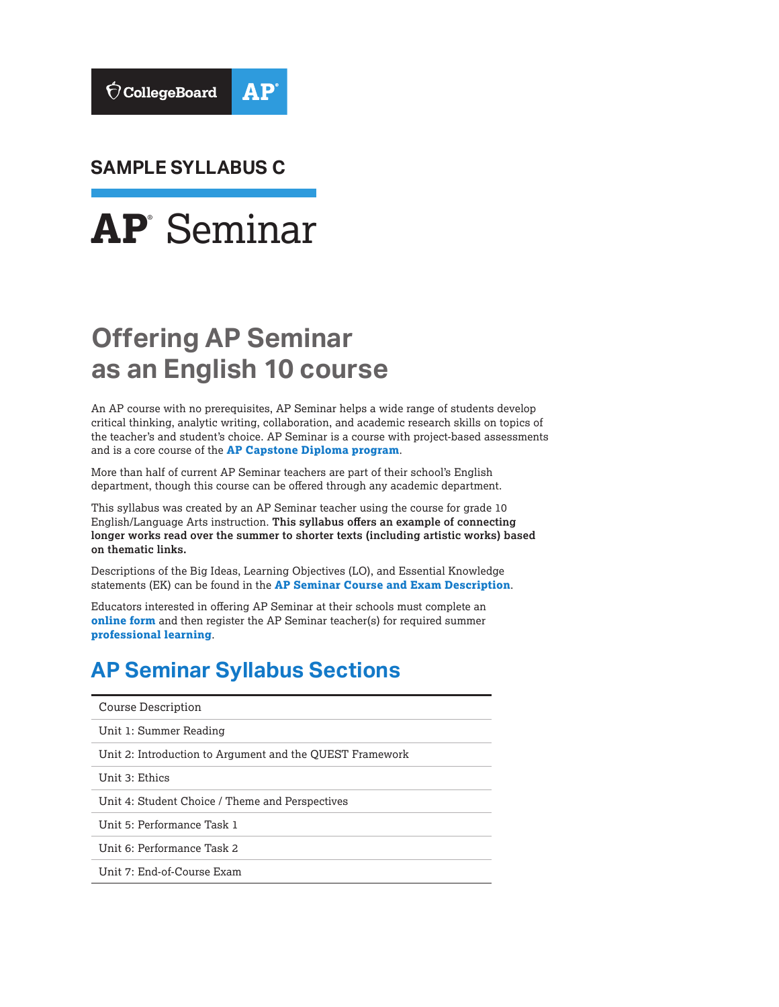

**SAMPLE SYLLABUS C**



# **Offering AP Seminar as an English 10 course**

An AP course with no prerequisites, AP Seminar helps a wide range of students develop critical thinking, analytic writing, collaboration, and academic research skills on topics of the teacher's and student's choice. AP Seminar is a course with project-based assessments and is a core course of the **[AP Capstone Diploma program](https://collegeboard.org/apcapstone)**.

More than half of current AP Seminar teachers are part of their school's English department, though this course can be offered through any academic department.

This syllabus was created by an AP Seminar teacher using the course for grade 10 English/Language Arts instruction. **This syllabus offers an example of connecting longer works read over the summer to shorter texts (including artistic works) based on thematic links.**

Descriptions of the Big Ideas, Learning Objectives (LO), and Essential Knowledge statements (EK) can be found in the **[AP Seminar Course and Exam Description](https://apcentral.collegeboard.org/pdf/ap-seminar-course-and-exam-description.pdf?course=ap-seminar)**.

Educators interested in offering AP Seminar at their schools must complete an **[online form](https://collegeboard.force.com/APCapstone/s/)** and then register the AP Seminar teacher(s) for required summer **[professional learning](https://apcentral.collegeboard.org/courses/ap-capstone/professional-learning)**.

## **AP Seminar Syllabus Sections**

| Course Description                                       |
|----------------------------------------------------------|
| Unit 1: Summer Reading                                   |
| Unit 2: Introduction to Argument and the QUEST Framework |
| Unit 3: Ethics                                           |
| Unit 4: Student Choice / Theme and Perspectives          |
| Unit 5: Performance Task 1                               |
| Unit 6: Performance Task 2                               |
| Unit 7: End-of-Course Exam                               |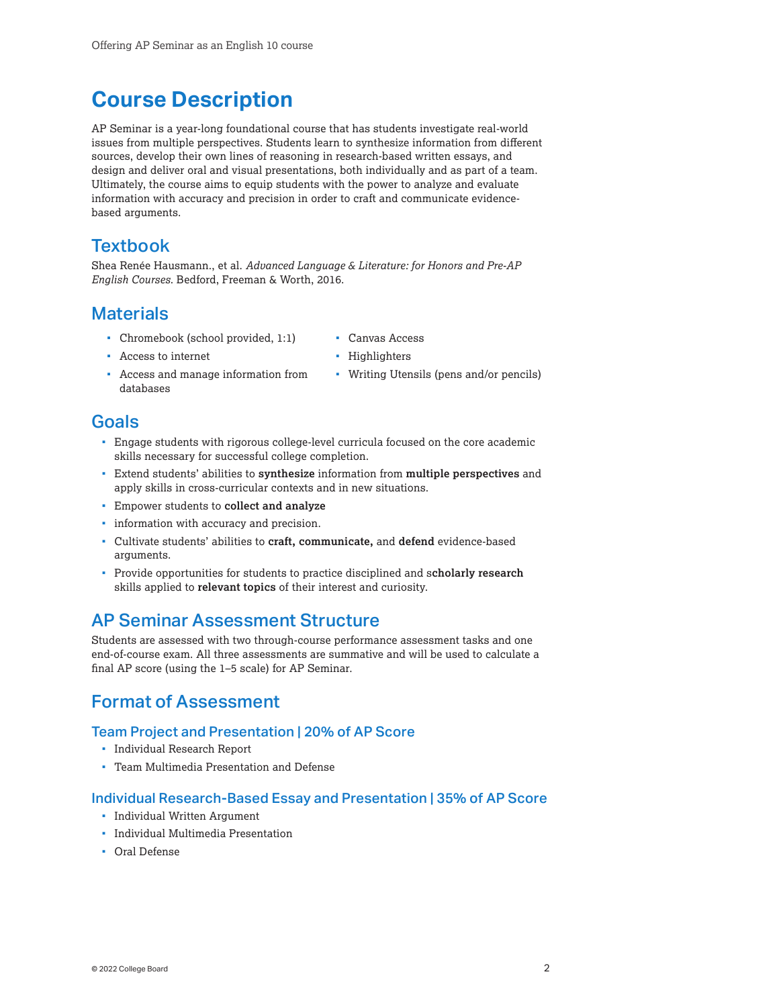## <span id="page-1-0"></span>**Course Description**

AP Seminar is a year-long foundational course that has students investigate real-world issues from multiple perspectives. Students learn to synthesize information from different sources, develop their own lines of reasoning in research-based written essays, and design and deliver oral and visual presentations, both individually and as part of a team. Ultimately, the course aims to equip students with the power to analyze and evaluate information with accuracy and precision in order to craft and communicate evidencebased arguments.

### **Textbook**

Shea Renée Hausmann., et al. *Advanced Language & Literature: for Honors and Pre-AP English Courses*. Bedford, Freeman & Worth, 2016.

### **Materials**

- Chromebook (school provided, 1:1)
- Canvas Access

Access to internet

- Highlighters
- Access and manage information from databases
- Writing Utensils (pens and/or pencils)

### Goals

- Engage students with rigorous college-level curricula focused on the core academic skills necessary for successful college completion.
- Extend students' abilities to **synthesize** information from **multiple perspectives** and apply skills in cross-curricular contexts and in new situations.
- Empower students to **collect and analyze**
- **·** information with accuracy and precision.
- Cultivate students' abilities to **craft, communicate,** and **defend** evidence-based arguments.
- Provide opportunities for students to practice disciplined and s**cholarly research** skills applied to **relevant topics** of their interest and curiosity.

## AP Seminar Assessment Structure

Students are assessed with two through-course performance assessment tasks and one end-of-course exam. All three assessments are summative and will be used to calculate a final AP score (using the 1–5 scale) for AP Seminar.

## Format of Assessment

### Team Project and Presentation | 20% of AP Score

- **Individual Research Report**
- Team Multimedia Presentation and Defense

### Individual Research-Based Essay and Presentation | 35% of AP Score

- **Individual Written Argument**
- Individual Multimedia Presentation
- Oral Defense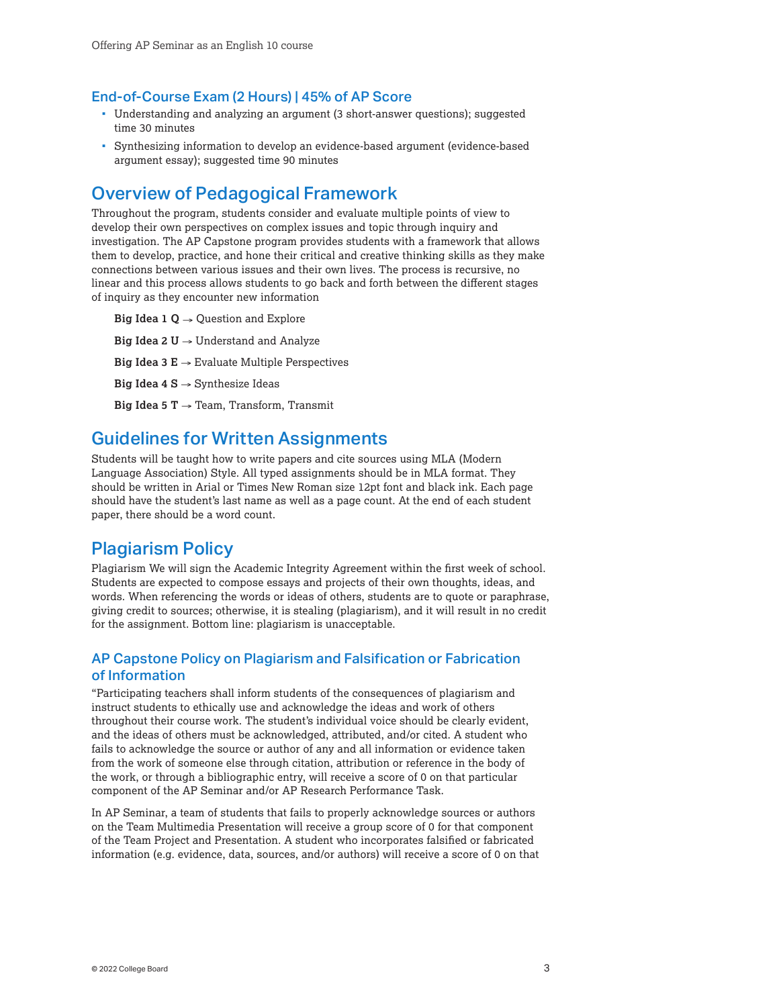### End-of-Course Exam (2 Hours) | 45% of AP Score

- Understanding and analyzing an argument (3 short-answer questions); suggested time 30 minutes
- Synthesizing information to develop an evidence-based argument (evidence-based argument essay); suggested time 90 minutes

### Overview of Pedagogical Framework

Throughout the program, students consider and evaluate multiple points of view to develop their own perspectives on complex issues and topic through inquiry and investigation. The AP Capstone program provides students with a framework that allows them to develop, practice, and hone their critical and creative thinking skills as they make connections between various issues and their own lives. The process is recursive, no linear and this process allows students to go back and forth between the different stages of inquiry as they encounter new information

**Big Idea 1 Q**  $\rightarrow$  **Question and Explore Big Idea 2 U** → Understand and Analyze **Big Idea 3 E**  $\rightarrow$  Evaluate Multiple Perspectives **Big Idea 4 S** → Synthesize Ideas **Big Idea 5 T** → Team, Transform, Transmit

### Guidelines for Written Assignments

Students will be taught how to write papers and cite sources using MLA (Modern Language Association) Style. All typed assignments should be in MLA format. They should be written in Arial or Times New Roman size 12pt font and black ink. Each page should have the student's last name as well as a page count. At the end of each student paper, there should be a word count.

### Plagiarism Policy

Plagiarism We will sign the Academic Integrity Agreement within the first week of school. Students are expected to compose essays and projects of their own thoughts, ideas, and words. When referencing the words or ideas of others, students are to quote or paraphrase, giving credit to sources; otherwise, it is stealing (plagiarism), and it will result in no credit for the assignment. Bottom line: plagiarism is unacceptable.

### AP Capstone Policy on Plagiarism and Falsification or Fabrication of Information

"Participating teachers shall inform students of the consequences of plagiarism and instruct students to ethically use and acknowledge the ideas and work of others throughout their course work. The student's individual voice should be clearly evident, and the ideas of others must be acknowledged, attributed, and/or cited. A student who fails to acknowledge the source or author of any and all information or evidence taken from the work of someone else through citation, attribution or reference in the body of the work, or through a bibliographic entry, will receive a score of 0 on that particular component of the AP Seminar and/or AP Research Performance Task.

In AP Seminar, a team of students that fails to properly acknowledge sources or authors on the Team Multimedia Presentation will receive a group score of 0 for that component of the Team Project and Presentation. A student who incorporates falsified or fabricated information (e.g. evidence, data, sources, and/or authors) will receive a score of 0 on that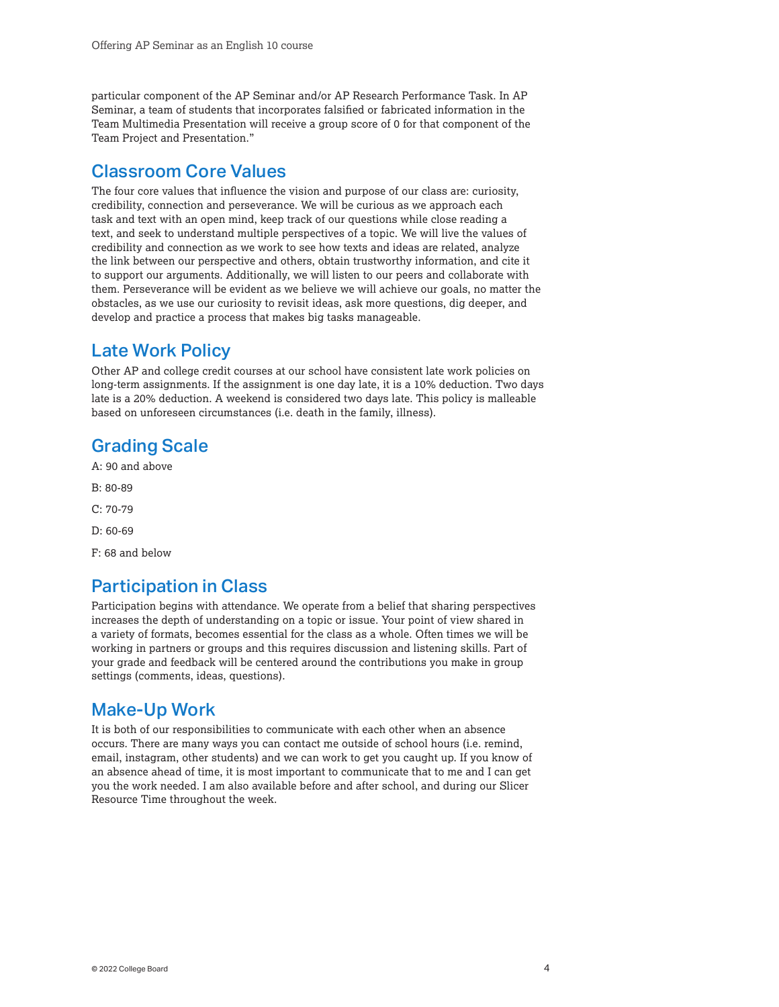particular component of the AP Seminar and/or AP Research Performance Task. In AP Seminar, a team of students that incorporates falsified or fabricated information in the Team Multimedia Presentation will receive a group score of 0 for that component of the Team Project and Presentation."

### Classroom Core Values

The four core values that influence the vision and purpose of our class are: curiosity, credibility, connection and perseverance. We will be curious as we approach each task and text with an open mind, keep track of our questions while close reading a text, and seek to understand multiple perspectives of a topic. We will live the values of credibility and connection as we work to see how texts and ideas are related, analyze the link between our perspective and others, obtain trustworthy information, and cite it to support our arguments. Additionally, we will listen to our peers and collaborate with them. Perseverance will be evident as we believe we will achieve our goals, no matter the obstacles, as we use our curiosity to revisit ideas, ask more questions, dig deeper, and develop and practice a process that makes big tasks manageable.

### Late Work Policy

Other AP and college credit courses at our school have consistent late work policies on long-term assignments. If the assignment is one day late, it is a 10% deduction. Two days late is a 20% deduction. A weekend is considered two days late. This policy is malleable based on unforeseen circumstances (i.e. death in the family, illness).

## Grading Scale

A: 90 and above

- B: 80-89
- C: 70-79
- D: 60-69

F: 68 and below

### Participation in Class

Participation begins with attendance. We operate from a belief that sharing perspectives increases the depth of understanding on a topic or issue. Your point of view shared in a variety of formats, becomes essential for the class as a whole. Often times we will be working in partners or groups and this requires discussion and listening skills. Part of your grade and feedback will be centered around the contributions you make in group settings (comments, ideas, questions).

### Make-Up Work

It is both of our responsibilities to communicate with each other when an absence occurs. There are many ways you can contact me outside of school hours (i.e. remind, email, instagram, other students) and we can work to get you caught up. If you know of an absence ahead of time, it is most important to communicate that to me and I can get you the work needed. I am also available before and after school, and during our Slicer Resource Time throughout the week.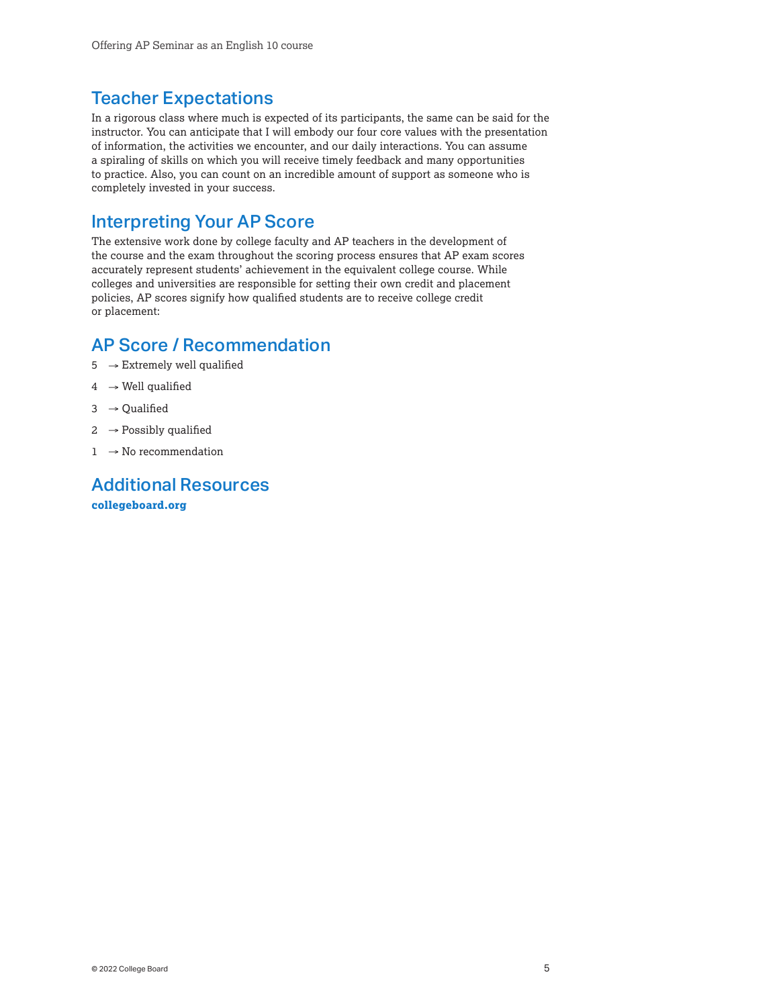## Teacher Expectations

In a rigorous class where much is expected of its participants, the same can be said for the instructor. You can anticipate that I will embody our four core values with the presentation of information, the activities we encounter, and our daily interactions. You can assume a spiraling of skills on which you will receive timely feedback and many opportunities to practice. Also, you can count on an incredible amount of support as someone who is completely invested in your success.

### Interpreting Your AP Score

The extensive work done by college faculty and AP teachers in the development of the course and the exam throughout the scoring process ensures that AP exam scores accurately represent students' achievement in the equivalent college course. While colleges and universities are responsible for setting their own credit and placement policies, AP scores signify how qualified students are to receive college credit or placement:

## AP Score / Recommendation

- $5 \rightarrow$  Extremely well qualified
- $4 \rightarrow$  Well qualified
- $3 \rightarrow$  Qualified
- $2 \rightarrow$  Possibly qualified
- $1 \rightarrow$  No recommendation

Additional Resources **[collegeboard.org](http://collegeboard.org)**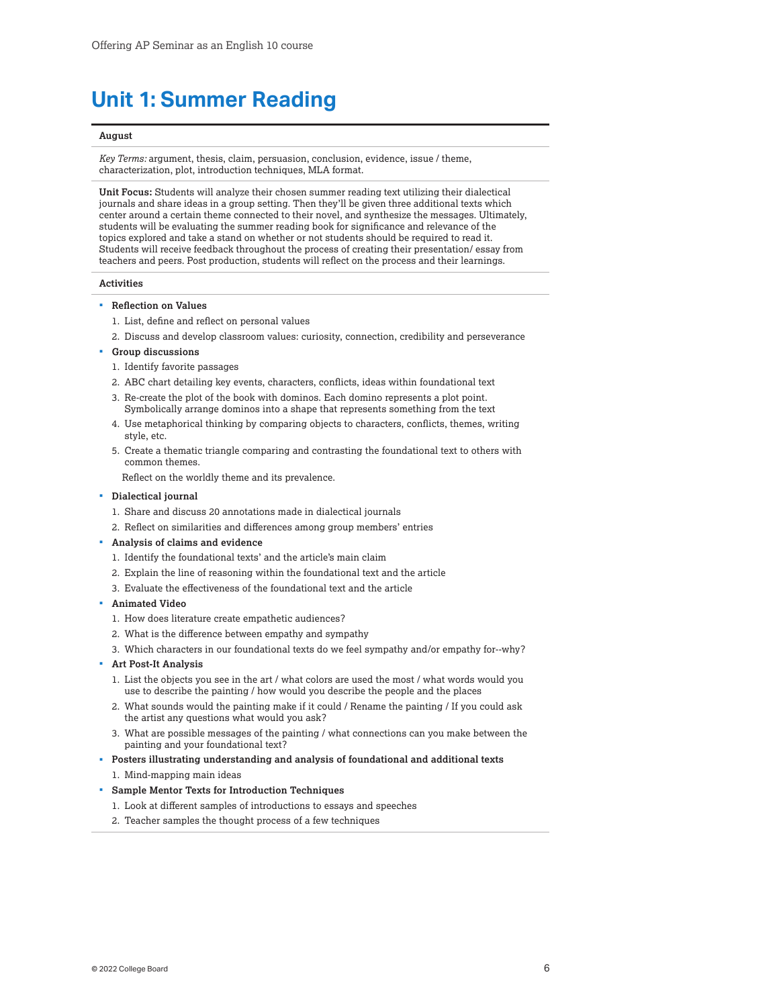## <span id="page-5-0"></span>**Unit 1: Summer Reading**

#### **August**

*Key Terms:* argument, thesis, claim, persuasion, conclusion, evidence, issue / theme, characterization, plot, introduction techniques, MLA format.

**Unit Focus:** Students will analyze their chosen summer reading text utilizing their dialectical journals and share ideas in a group setting. Then they'll be given three additional texts which center around a certain theme connected to their novel, and synthesize the messages. Ultimately, students will be evaluating the summer reading book for significance and relevance of the topics explored and take a stand on whether or not students should be required to read it. Students will receive feedback throughout the process of creating their presentation/ essay from teachers and peers. Post production, students will reflect on the process and their learnings.

#### **Activities**

- **Reflection on Values**
	- 1. List, define and reflect on personal values
	- 2. Discuss and develop classroom values: curiosity, connection, credibility and perseverance
- **Group discussions**
	- 1. Identify favorite passages
	- 2. ABC chart detailing key events, characters, conflicts, ideas within foundational text
	- 3. Re-create the plot of the book with dominos. Each domino represents a plot point. Symbolically arrange dominos into a shape that represents something from the text
	- 4. Use metaphorical thinking by comparing objects to characters, conflicts, themes, writing style, etc.
	- 5. Create a thematic triangle comparing and contrasting the foundational text to others with common themes.

Reflect on the worldly theme and its prevalence.

- **Dialectical journal**
	- 1. Share and discuss 20 annotations made in dialectical journals
	- 2. Reflect on similarities and differences among group members' entries
- **Analysis of claims and evidence**
	- 1. Identify the foundational texts' and the article's main claim
	- 2. Explain the line of reasoning within the foundational text and the article
	- 3. Evaluate the effectiveness of the foundational text and the article
- **Animated Video**
	- 1. How does literature create empathetic audiences?
	- 2. What is the difference between empathy and sympathy
	- 3. Which characters in our foundational texts do we feel sympathy and/or empathy for--why?
- **Art Post-It Analysis**
	- 1. List the objects you see in the art / what colors are used the most / what words would you use to describe the painting / how would you describe the people and the places
	- 2. What sounds would the painting make if it could / Rename the painting / If you could ask the artist any questions what would you ask?
	- 3. What are possible messages of the painting / what connections can you make between the painting and your foundational text?
- **Posters illustrating understanding and analysis of foundational and additional texts** 1. Mind-mapping main ideas
- **Sample Mentor Texts for Introduction Techniques**
	- 1. Look at different samples of introductions to essays and speeches
	- 2. Teacher samples the thought process of a few techniques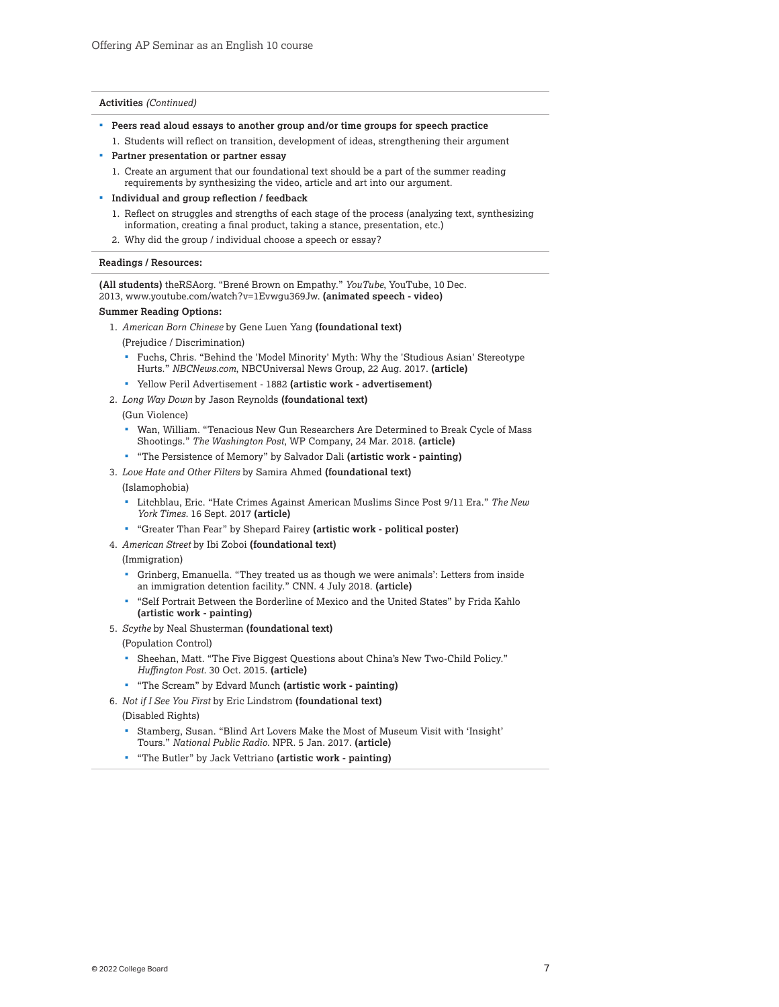#### **Activities** *(Continued)*

- **Peers read aloud essays to another group and/or time groups for speech practice**
- 1. Students will reflect on transition, development of ideas, strengthening their argument **Partner presentation or partner essay**
	- 1. Create an argument that our foundational text should be a part of the summer reading requirements by synthesizing the video, article and art into our argument.
- **Individual and group reflection / feedback**
	- 1. Reflect on struggles and strengths of each stage of the process (analyzing text, synthesizing information, creating a final product, taking a stance, presentation, etc.)
	- 2. Why did the group / individual choose a speech or essay?

#### **Readings / Resources:**

**(All students)** theRSAorg. "Brené Brown on Empathy." *YouTube*, YouTube, 10 Dec. 2013, [www.youtube.com/watch?v=1Evwgu369Jw.](http://bit.ly/APCapstoneEBSCO) **(animated speech - video)**

#### **Summer Reading Options:**

- 1. *American Born Chinese* by Gene Luen Yang **(foundational text)**
	- (Prejudice / Discrimination)
	- Fuchs, Chris. "Behind the 'Model Minority' Myth: Why the 'Studious Asian' Stereotype Hurts." *[NBCNews.com](https://NBCNews.com)*, NBCUniversal News Group, 22 Aug. 2017. **(article)**
	- Yellow Peril Advertisement 1882 **(artistic work advertisement)**
- 2. *Long Way Down* by Jason Reynolds **(foundational text)**

(Gun Violence)

- Wan, William. "Tenacious New Gun Researchers Are Determined to Break Cycle of Mass Shootings." *The Washington Post*, WP Company, 24 Mar. 2018. **(article)**
- "The Persistence of Memory" by Salvador Dali **(artistic work painting)**
- 3. *Love Hate and Other Filters* by Samira Ahmed **(foundational text)**

#### (Islamophobia)

- Litchblau, Eric. "Hate Crimes Against American Muslims Since Post 9/11 Era." *The New York Times.* 16 Sept. 2017 **(article)**
- "Greater Than Fear" by Shepard Fairey **(artistic work political poster)**
- 4. *American Street* by Ibi Zoboi **(foundational text)**
	- (Immigration)
	- Grinberg, Emanuella. "They treated us as though we were animals': Letters from inside an immigration detention facility." CNN. 4 July 2018. **(article)**
	- "Self Portrait Between the Borderline of Mexico and the United States" by Frida Kahlo **(artistic work - painting)**
- 5. *Scythe* by Neal Shusterman **(foundational text)**
- (Population Control)
	- Sheehan, Matt. "The Five Biggest Questions about China's New Two-Child Policy." *Huffington Post.* 30 Oct. 2015. **(article)**
- "The Scream" by Edvard Munch **(artistic work painting)**
- 6. *Not if I See You First* by Eric Lindstrom **(foundational text)**

(Disabled Rights)

- Stamberg, Susan. "Blind Art Lovers Make the Most of Museum Visit with 'Insight' Tours." *National Public Radio*. NPR. 5 Jan. 2017. **(article)**
- "The Butler" by Jack Vettriano **(artistic work painting)**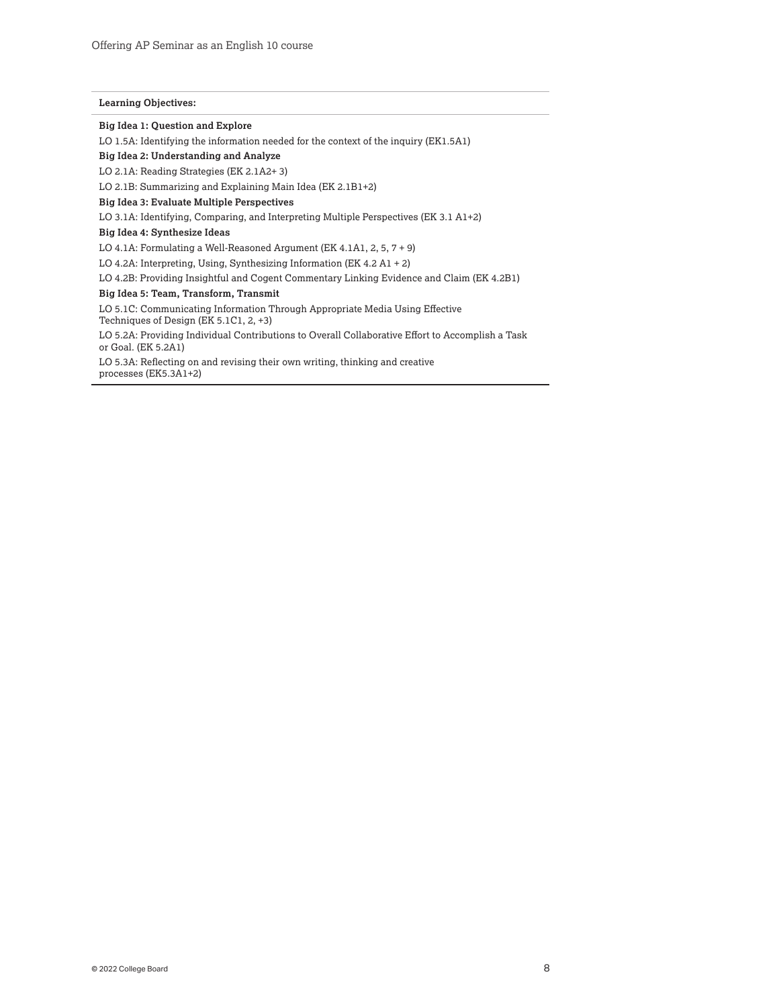#### **Learning Objectives:**

**Big Idea 1: Question and Explore**

LO 1.5A: Identifying the information needed for the context of the inquiry (EK1.5A1)

**Big Idea 2: Understanding and Analyze**

LO 2.1A: Reading Strategies (EK 2.1A2+ 3)

LO 2.1B: Summarizing and Explaining Main Idea (EK 2.1B1+2)

**Big Idea 3: Evaluate Multiple Perspectives**

LO 3.1A: Identifying, Comparing, and Interpreting Multiple Perspectives (EK 3.1 A1+2)

**Big Idea 4: Synthesize Ideas**

LO 4.1A: Formulating a Well-Reasoned Argument (EK 4.1A1, 2, 5, 7 + 9)

LO 4.2A: Interpreting, Using, Synthesizing Information (EK 4.2 A1 + 2)

LO 4.2B: Providing Insightful and Cogent Commentary Linking Evidence and Claim (EK 4.2B1)

**Big Idea 5: Team, Transform, Transmit**

LO 5.1C: Communicating Information Through Appropriate Media Using Effective Techniques of Design (EK 5.1C1, 2, +3)

LO 5.2A: Providing Individual Contributions to Overall Collaborative Effort to Accomplish a Task or Goal. (EK 5.2A1)

LO 5.3A: Reflecting on and revising their own writing, thinking and creative processes (EK5.3A1+2)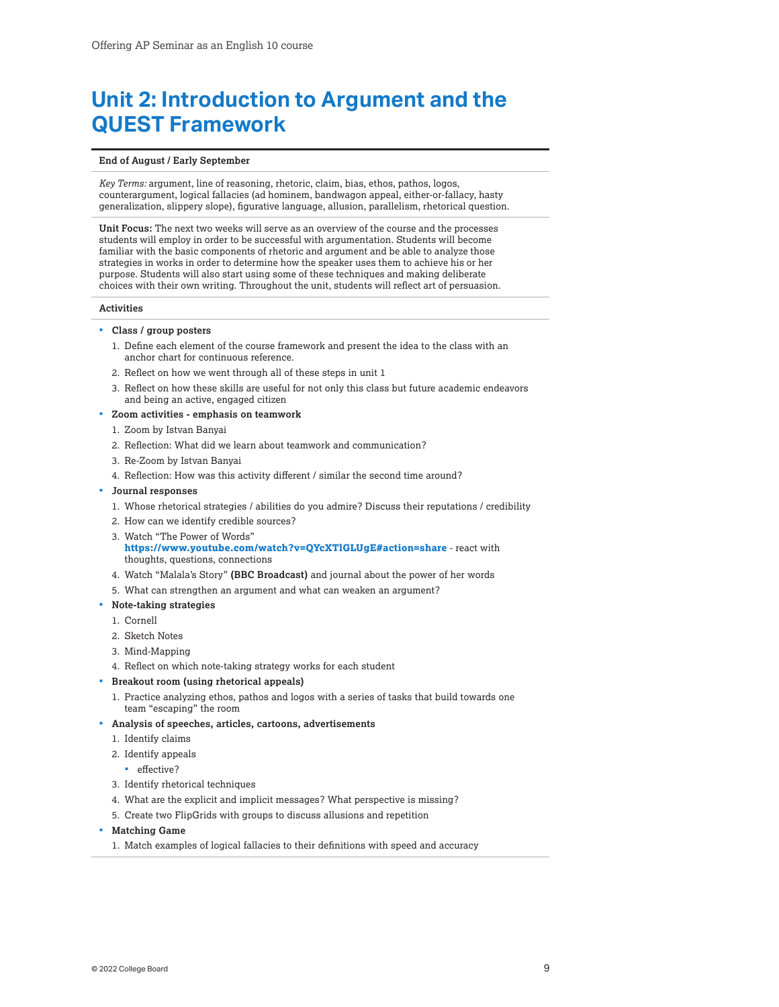# <span id="page-8-0"></span>**Unit 2: Introduction to Argument and the QUEST Framework**

#### **End of August / Early September**

*Key Terms:* argument, line of reasoning, rhetoric, claim, bias, ethos, pathos, logos, counterargument, logical fallacies (ad hominem, bandwagon appeal, either-or-fallacy, hasty generalization, slippery slope), figurative language, allusion, parallelism, rhetorical question.

**Unit Focus:** The next two weeks will serve as an overview of the course and the processes students will employ in order to be successful with argumentation. Students will become familiar with the basic components of rhetoric and argument and be able to analyze those strategies in works in order to determine how the speaker uses them to achieve his or her purpose. Students will also start using some of these techniques and making deliberate choices with their own writing. Throughout the unit, students will reflect art of persuasion.

#### **Activities**

- **Class / group posters**
	- 1. Define each element of the course framework and present the idea to the class with an anchor chart for continuous reference.
	- 2. Reflect on how we went through all of these steps in unit 1
	- 3. Reflect on how these skills are useful for not only this class but future academic endeavors and being an active, engaged citizen
- **Zoom activities emphasis on teamwork**
	- 1. Zoom by Istvan Banyai
	- 2. Reflection: What did we learn about teamwork and communication?
	- 3. Re-Zoom by Istvan Banyai
	- 4. Reflection: How was this activity different / similar the second time around?
- **Journal responses**
	- 1. Whose rhetorical strategies / abilities do you admire? Discuss their reputations / credibility
	- 2. How can we identify credible sources?
	- 3. Watch "The Power of Words"
	- **<https://www.youtube.com/watch?v=QYcXTlGLUgE#action=share>** react with thoughts, questions, connections
	- 4. Watch "Malala's Story" **(BBC Broadcast)** and journal about the power of her words
	- 5. What can strengthen an argument and what can weaken an argument?
- **Note-taking strategies**
	- 1. Cornell
	- 2. Sketch Notes
	- 3. Mind-Mapping
	- 4. Reflect on which note-taking strategy works for each student
- **Breakout room (using rhetorical appeals)**
	- 1. Practice analyzing ethos, pathos and logos with a series of tasks that build towards one team "escaping" the room
- **Analysis of speeches, articles, cartoons, advertisements**
	- 1. Identify claims
	- 2. Identify appeals
	- **·** effective?
	- 3. Identify rhetorical techniques
	- 4. What are the explicit and implicit messages? What perspective is missing?
	- 5. Create two FlipGrids with groups to discuss allusions and repetition
- **Matching Game**
	- 1. Match examples of logical fallacies to their definitions with speed and accuracy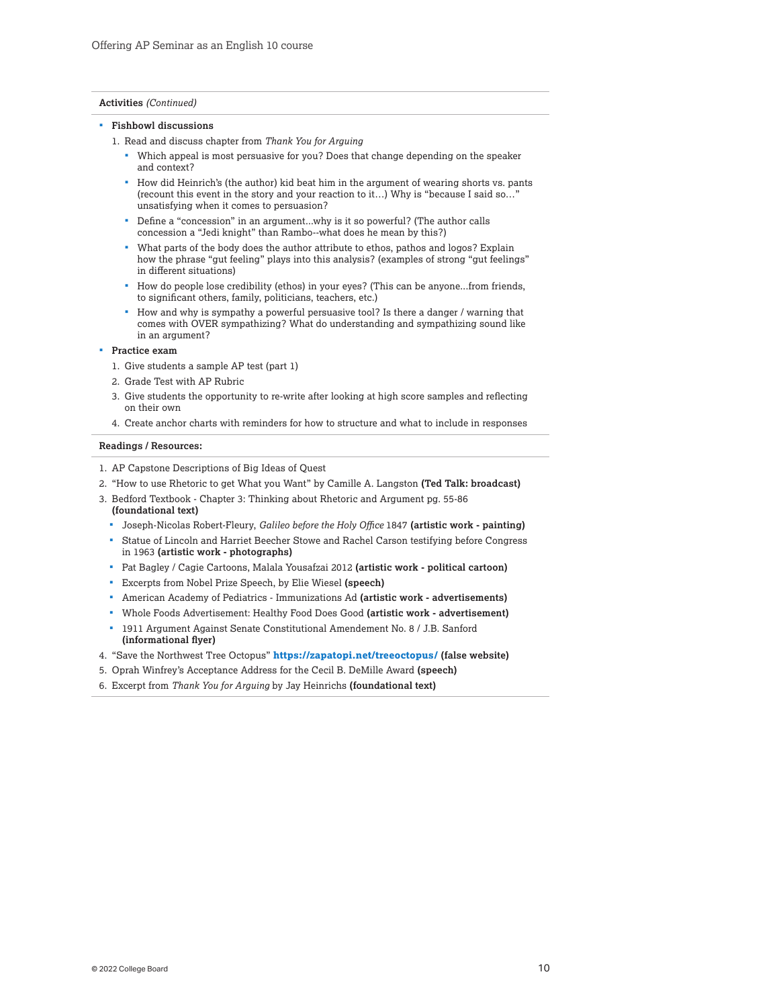#### **Activities** *(Continued)*

#### **Fishbowl discussions**

- 1. Read and discuss chapter from *Thank You for Arguing* 
	- Which appeal is most persuasive for you? Does that change depending on the speaker and context?
	- How did Heinrich's (the author) kid beat him in the argument of wearing shorts vs. pants (recount this event in the story and your reaction to it…) Why is "because I said so…" unsatisfying when it comes to persuasion?
	- Define a "concession" in an argument...why is it so powerful? (The author calls concession a "Jedi knight" than Rambo--what does he mean by this?)
	- What parts of the body does the author attribute to ethos, pathos and logos? Explain how the phrase "gut feeling" plays into this analysis? (examples of strong "gut feelings" in different situations)
	- How do people lose credibility (ethos) in your eyes? (This can be anyone...from friends, to significant others, family, politicians, teachers, etc.)
	- How and why is sympathy a powerful persuasive tool? Is there a danger / warning that comes with OVER sympathizing? What do understanding and sympathizing sound like in an argument?

#### **Practice exam**

- 1. Give students a sample AP test (part 1)
- 2. Grade Test with AP Rubric
- 3. Give students the opportunity to re-write after looking at high score samples and reflecting on their own
- 4. Create anchor charts with reminders for how to structure and what to include in responses

#### **Readings / Resources:**

- 1. AP Capstone Descriptions of Big Ideas of Quest
- 2. "How to use Rhetoric to get What you Want" by Camille A. Langston **(Ted Talk: broadcast)**
- 3. Bedford Textbook Chapter 3: Thinking about Rhetoric and Argument pg. 55-86 **(foundational text)**
	- Joseph-Nicolas Robert-Fleury, *Galileo before the Holy Office* 1847 **(artistic work painting)**
	- Statue of Lincoln and Harriet Beecher Stowe and Rachel Carson testifying before Congress in 1963 **(artistic work - photographs)**
	- Pat Bagley / Cagie Cartoons, Malala Yousafzai 2012 **(artistic work political cartoon)**
	- Excerpts from Nobel Prize Speech, by Elie Wiesel **(speech)**
	- American Academy of Pediatrics Immunizations Ad **(artistic work advertisements)**
	- Whole Foods Advertisement: Healthy Food Does Good **(artistic work advertisement)**
	- 1911 Argument Against Senate Constitutional Amendement No. 8 / J.B. Sanford **(informational flyer)**
- 4. "Save the Northwest Tree Octopus" **<https://zapatopi.net/treeoctopus/> (false website)**
- 5. Oprah Winfrey's Acceptance Address for the Cecil B. DeMille Award **(speech)**
- 6. Excerpt from *Thank You for Arguing* by Jay Heinrichs **(foundational text)**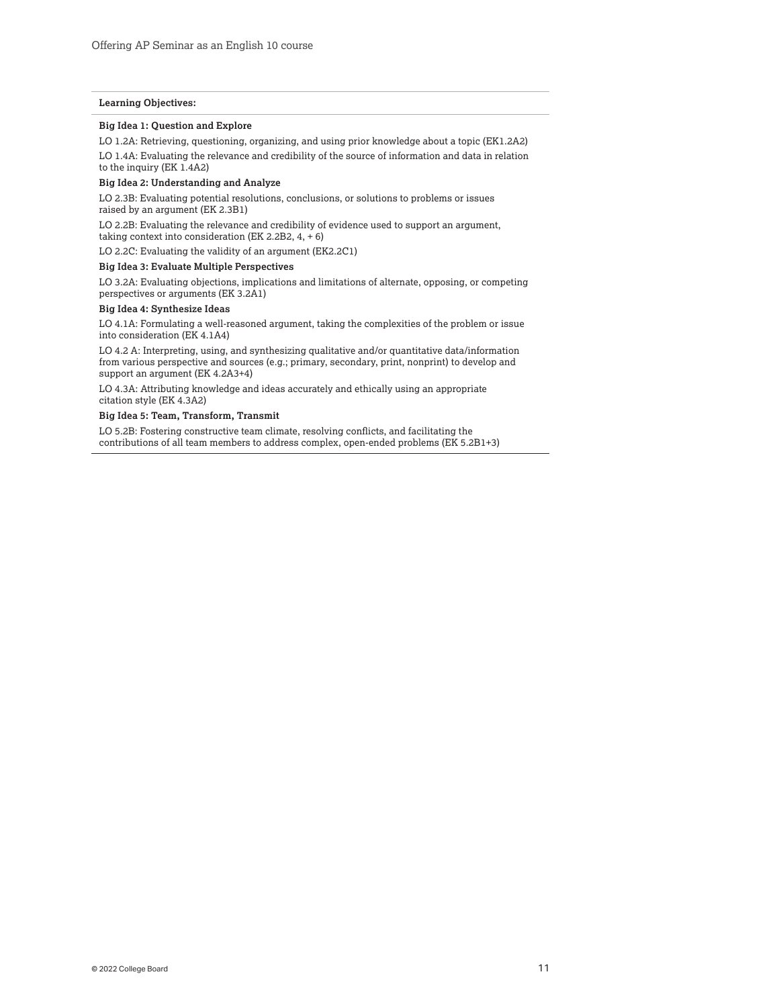#### **Learning Objectives:**

#### **Big Idea 1: Question and Explore**

LO 1.2A: Retrieving, questioning, organizing, and using prior knowledge about a topic (EK1.2A2)

LO 1.4A: Evaluating the relevance and credibility of the source of information and data in relation

to the inquiry (EK 1.4A2)

### **Big Idea 2: Understanding and Analyze**

LO 2.3B: Evaluating potential resolutions, conclusions, or solutions to problems or issues raised by an argument (EK 2.3B1)

LO 2.2B: Evaluating the relevance and credibility of evidence used to support an argument, taking context into consideration (EK 2.2B2,  $4, +6$ )

LO 2.2C: Evaluating the validity of an argument (EK2.2C1)

#### **Big Idea 3: Evaluate Multiple Perspectives**

LO 3.2A: Evaluating objections, implications and limitations of alternate, opposing, or competing perspectives or arguments (EK 3.2A1)

#### **Big Idea 4: Synthesize Ideas**

LO 4.1A: Formulating a well-reasoned argument, taking the complexities of the problem or issue into consideration (EK 4.1A4)

LO 4.2 A: Interpreting, using, and synthesizing qualitative and/or quantitative data/information from various perspective and sources (e.g.; primary, secondary, print, nonprint) to develop and support an argument (EK 4.2A3+4)

LO 4.3A: Attributing knowledge and ideas accurately and ethically using an appropriate citation style (EK 4.3A2)

#### **Big Idea 5: Team, Transform, Transmit**

LO 5.2B: Fostering constructive team climate, resolving conflicts, and facilitating the contributions of all team members to address complex, open-ended problems (EK 5.2B1+3)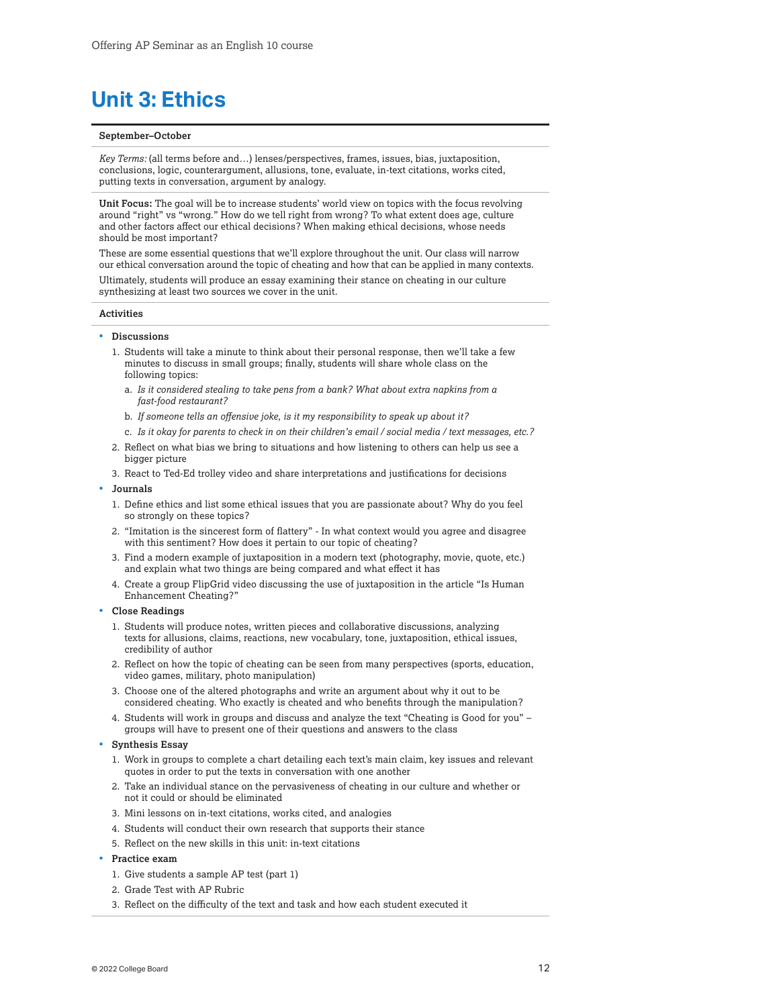# <span id="page-11-0"></span>**Unit 3: Ethics**

#### **September–October**

*Key Terms:* (all terms before and…) lenses/perspectives, frames, issues, bias, juxtaposition, conclusions, logic, counterargument, allusions, tone, evaluate, in-text citations, works cited, putting texts in conversation, argument by analogy.

**Unit Focus:** The goal will be to increase students' world view on topics with the focus revolving around "right" vs "wrong." How do we tell right from wrong? To what extent does age, culture and other factors affect our ethical decisions? When making ethical decisions, whose needs should be most important?

These are some essential questions that we'll explore throughout the unit. Our class will narrow our ethical conversation around the topic of cheating and how that can be applied in many contexts.

Ultimately, students will produce an essay examining their stance on cheating in our culture synthesizing at least two sources we cover in the unit.

#### **Activities**

#### **Discussions**

- 1. Students will take a minute to think about their personal response, then we'll take a few minutes to discuss in small groups; finally, students will share whole class on the following topics:
	- a. *Is it considered stealing to take pens from a bank? What about extra napkins from a fast-food restaurant?*
	- b. *If someone tells an offensive joke, is it my responsibility to speak up about it?*
	- c. *Is it okay for parents to check in on their children's email / social media / text messages, etc.?*
- 2. Reflect on what bias we bring to situations and how listening to others can help us see a bigger picture
- 3. React to Ted-Ed trolley video and share interpretations and justifications for decisions
- **Journals**
	- 1. Define ethics and list some ethical issues that you are passionate about? Why do you feel so strongly on these topics?
	- 2. "Imitation is the sincerest form of flattery" In what context would you agree and disagree with this sentiment? How does it pertain to our topic of cheating?
	- 3. Find a modern example of juxtaposition in a modern text (photography, movie, quote, etc.) and explain what two things are being compared and what effect it has
	- 4. Create a group FlipGrid video discussing the use of juxtaposition in the article "Is Human Enhancement Cheating?"
- **Close Readings**
	- 1. Students will produce notes, written pieces and collaborative discussions, analyzing texts for allusions, claims, reactions, new vocabulary, tone, juxtaposition, ethical issues, credibility of author
	- 2. Reflect on how the topic of cheating can be seen from many perspectives (sports, education, video games, military, photo manipulation)
	- 3. Choose one of the altered photographs and write an argument about why it out to be considered cheating. Who exactly is cheated and who benefits through the manipulation?
	- 4. Students will work in groups and discuss and analyze the text "Cheating is Good for you" groups will have to present one of their questions and answers to the class

#### **Synthesis Essay**

- 1. Work in groups to complete a chart detailing each text's main claim, key issues and relevant quotes in order to put the texts in conversation with one another
- 2. Take an individual stance on the pervasiveness of cheating in our culture and whether or not it could or should be eliminated
- 3. Mini lessons on in-text citations, works cited, and analogies
- 4. Students will conduct their own research that supports their stance
- 5. Reflect on the new skills in this unit: in-text citations

#### **Practice exam**

- 1. Give students a sample AP test (part 1)
- 2. Grade Test with AP Rubric
- 3. Reflect on the difficulty of the text and task and how each student executed it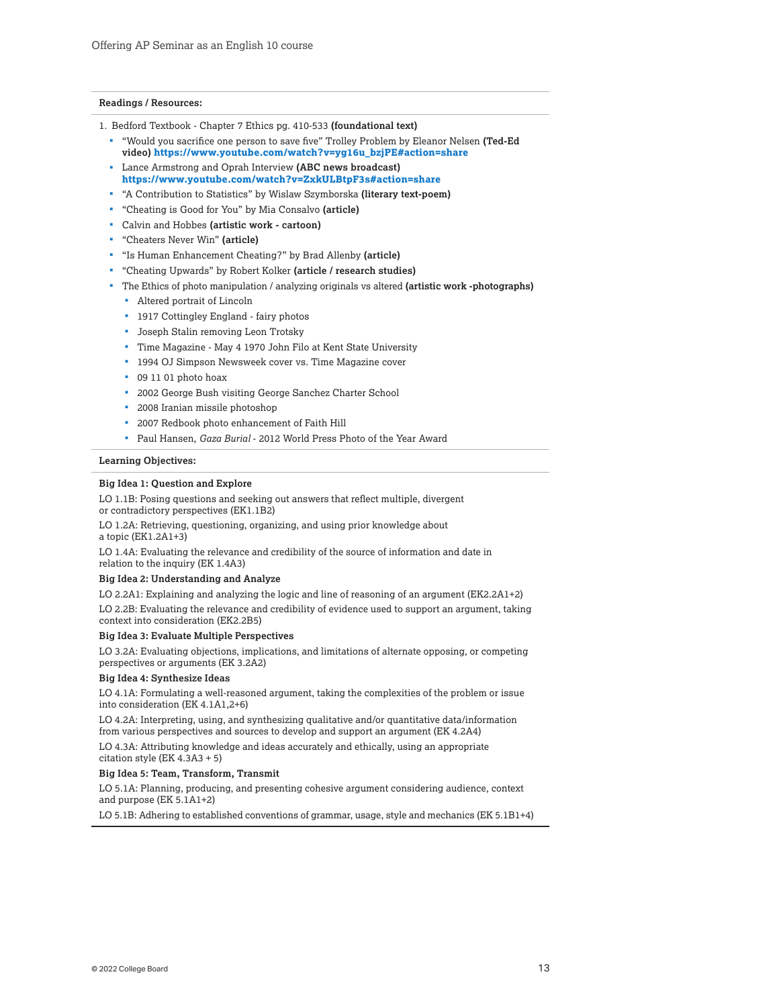#### **Readings / Resources:**

- 1. Bedford Textbook Chapter 7 Ethics pg. 410-533 **(foundational text)**
	- "Would you sacrifice one person to save five" Trolley Problem by Eleanor Nelsen **(Ted-Ed video) [https://www.youtube.com/watch?v=yg16u\\_bzjPE#action=share](https://www.youtube.com/watch?v=yg16u_bzjPE#action=share)**
	- Lance Armstrong and Oprah Interview **(ABC news broadcast) <https://www.youtube.com/watch?v=ZxkULBtpF3s#action=share>**
	- "A Contribution to Statistics" by Wislaw Szymborska **(literary text-poem)**
	- "Cheating is Good for You" by Mia Consalvo **(article)**
	- Calvin and Hobbes **(artistic work cartoon)**
	- "Cheaters Never Win" **(article)**
	- "Is Human Enhancement Cheating?" by Brad Allenby **(article)**
	- "Cheating Upwards" by Robert Kolker **(article / research studies)**
	- The Ethics of photo manipulation / analyzing originals vs altered **(artistic work -photographs)**
		- Altered portrait of Lincoln
		- <sup>1</sup> 1917 Cottingley England fairy photos
		- **Joseph Stalin removing Leon Trotsky**
		- Time Magazine May 4 1970 John Filo at Kent State University
		- <sup>1</sup> 1994 OJ Simpson Newsweek cover vs. Time Magazine cover
		- 09 11 01 photo hoax
		- 2002 George Bush visiting George Sanchez Charter School
		- 2008 Iranian missile photoshop
		- 2007 Redbook photo enhancement of Faith Hill
		- Paul Hansen, *Gaza Burial*  2012 World Press Photo of the Year Award

#### **Learning Objectives:**

#### **Big Idea 1: Question and Explore**

LO 1.1B: Posing questions and seeking out answers that reflect multiple, divergent or contradictory perspectives (EK1.1B2)

LO 1.2A: Retrieving, questioning, organizing, and using prior knowledge about a topic (EK1.2A1+3)

LO 1.4A: Evaluating the relevance and credibility of the source of information and date in relation to the inquiry (EK 1.4A3)

#### **Big Idea 2: Understanding and Analyze**

LO 2.2A1: Explaining and analyzing the logic and line of reasoning of an argument (EK2.2A1+2)

LO 2.2B: Evaluating the relevance and credibility of evidence used to support an argument, taking context into consideration (EK2.2B5)

#### **Big Idea 3: Evaluate Multiple Perspectives**

LO 3.2A: Evaluating objections, implications, and limitations of alternate opposing, or competing perspectives or arguments (EK 3.2A2)

#### **Big Idea 4: Synthesize Ideas**

LO 4.1A: Formulating a well-reasoned argument, taking the complexities of the problem or issue into consideration (EK 4.1A1,2+6)

LO 4.2A: Interpreting, using, and synthesizing qualitative and/or quantitative data/information from various perspectives and sources to develop and support an argument (EK 4.2A4)

LO 4.3A: Attributing knowledge and ideas accurately and ethically, using an appropriate citation style (EK 4.3A3 + 5)

#### **Big Idea 5: Team, Transform, Transmit**

LO 5.1A: Planning, producing, and presenting cohesive argument considering audience, context and purpose (EK 5.1A1+2)

LO 5.1B: Adhering to established conventions of grammar, usage, style and mechanics (EK 5.1B1+4)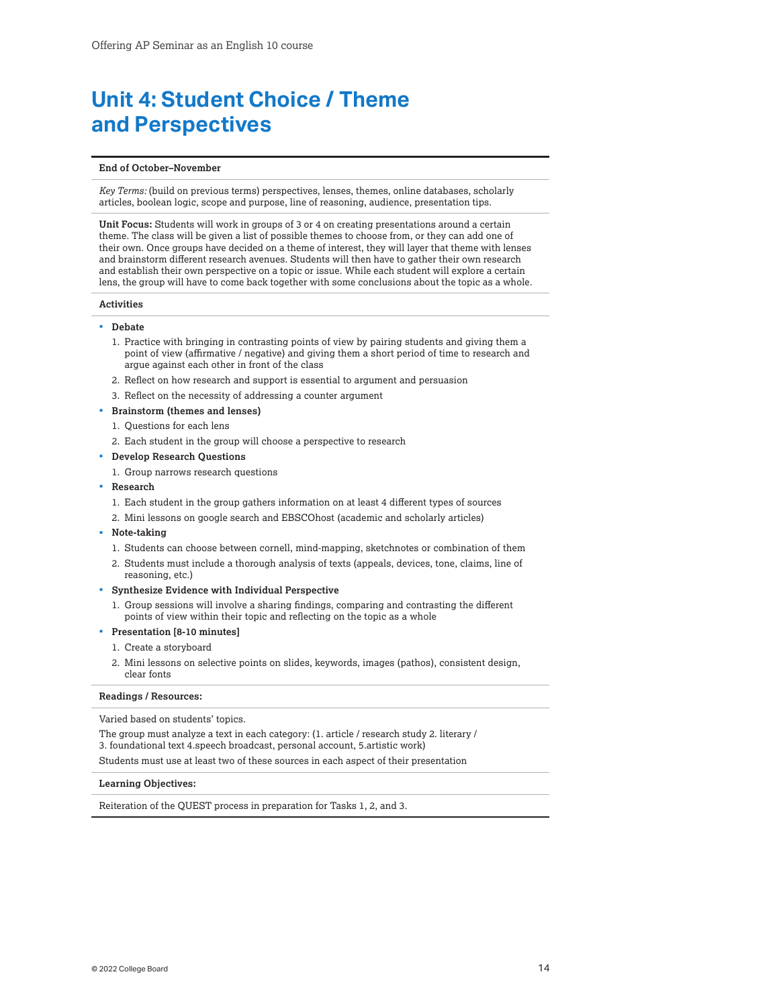## <span id="page-13-0"></span>**Unit 4: Student Choice / Theme and Perspectives**

#### **End of October–November**

*Key Terms:* (build on previous terms) perspectives, lenses, themes, online databases, scholarly articles, boolean logic, scope and purpose, line of reasoning, audience, presentation tips.

**Unit Focus:** Students will work in groups of 3 or 4 on creating presentations around a certain theme. The class will be given a list of possible themes to choose from, or they can add one of their own. Once groups have decided on a theme of interest, they will layer that theme with lenses and brainstorm different research avenues. Students will then have to gather their own research and establish their own perspective on a topic or issue. While each student will explore a certain lens, the group will have to come back together with some conclusions about the topic as a whole.

#### **Activities**

#### **Debate**

- 1. Practice with bringing in contrasting points of view by pairing students and giving them a point of view (affirmative / negative) and giving them a short period of time to research and argue against each other in front of the class
- 2. Reflect on how research and support is essential to argument and persuasion
- 3. Reflect on the necessity of addressing a counter argument
- **Brainstorm (themes and lenses)**
	- 1. Questions for each lens
	- 2. Each student in the group will choose a perspective to research
- **Develop Research Questions**
	- 1. Group narrows research questions
- **Research**
	- 1. Each student in the group gathers information on at least 4 different types of sources
	- 2. Mini lessons on google search and EBSCOhost (academic and scholarly articles)
- **Note-taking**
	- 1. Students can choose between cornell, mind-mapping, sketchnotes or combination of them
	- 2. Students must include a thorough analysis of texts (appeals, devices, tone, claims, line of reasoning, etc.)
- **Synthesize Evidence with Individual Perspective**
	- 1. Group sessions will involve a sharing findings, comparing and contrasting the different points of view within their topic and reflecting on the topic as a whole
- **Presentation [8-10 minutes]**
	- 1. Create a storyboard
	- 2. Mini lessons on selective points on slides, keywords, images (pathos), consistent design, clear fonts

**Readings / Resources:**

Varied based on students' topics.

The group must analyze a text in each category: (1. article / research study 2. literary / 3. foundational text 4.speech broadcast, personal account, 5.artistic work)

Students must use at least two of these sources in each aspect of their presentation

#### **Learning Objectives:**

Reiteration of the QUEST process in preparation for Tasks 1, 2, and 3.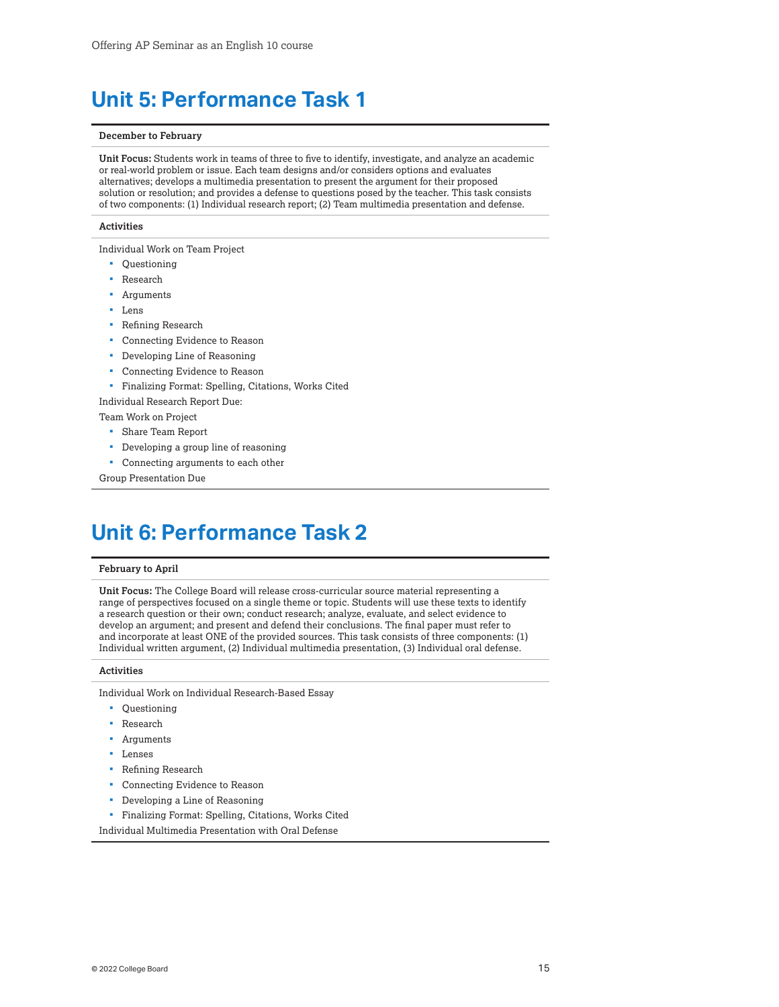# <span id="page-14-0"></span>**Unit 5: Performance Task 1**

#### **December to February**

**Unit Focus:** Students work in teams of three to five to identify, investigate, and analyze an academic or real-world problem or issue. Each team designs and/or considers options and evaluates alternatives; develops a multimedia presentation to present the argument for their proposed solution or resolution; and provides a defense to questions posed by the teacher. This task consists of two components: (1) Individual research report; (2) Team multimedia presentation and defense.

#### **Activities**

Individual Work on Team Project

- Questioning
- Research
- Arguments
- Lens
- **Refining Research**
- Connecting Evidence to Reason
- Developing Line of Reasoning
- Connecting Evidence to Reason
- Finalizing Format: Spelling, Citations, Works Cited

Individual Research Report Due:

- Team Work on Project
	- Share Team Report
	- Developing a group line of reasoning
	- Connecting arguments to each other

Group Presentation Due

## **Unit 6: Performance Task 2**

#### **February to April**

**Unit Focus:** The College Board will release cross-curricular source material representing a range of perspectives focused on a single theme or topic. Students will use these texts to identify a research question or their own; conduct research; analyze, evaluate, and select evidence to develop an argument; and present and defend their conclusions. The final paper must refer to and incorporate at least ONE of the provided sources. This task consists of three components: (1) Individual written argument, (2) Individual multimedia presentation, (3) Individual oral defense.

#### **Activities**

Individual Work on Individual Research-Based Essay

- Questioning
- Research
- Arguments
- Lenses
- **Refining Research**
- Connecting Evidence to Reason
- Developing a Line of Reasoning
- Finalizing Format: Spelling, Citations, Works Cited

Individual Multimedia Presentation with Oral Defense